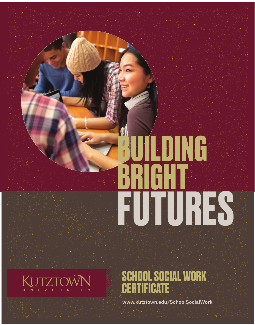# **BUILDING BRIGHT FUTURES**



**SCHOOL SOCIAL WORK CERTIFICATE**

www.kutztown.edu/SchoolSocialWork